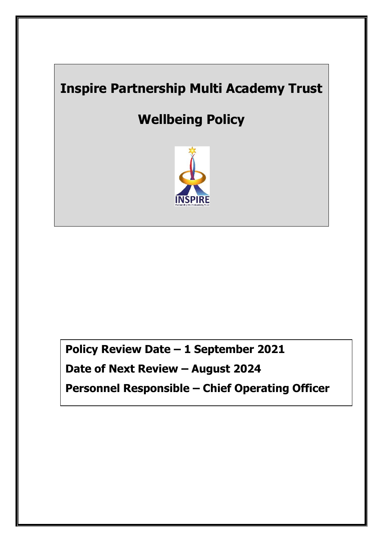# **Inspire Partnership Multi Academy Trust**

# **Wellbeing Policy**



**Policy Review Date – 1 September 2021 Date of Next Review – August 2024 Personnel Responsible – Chief Operating Officer**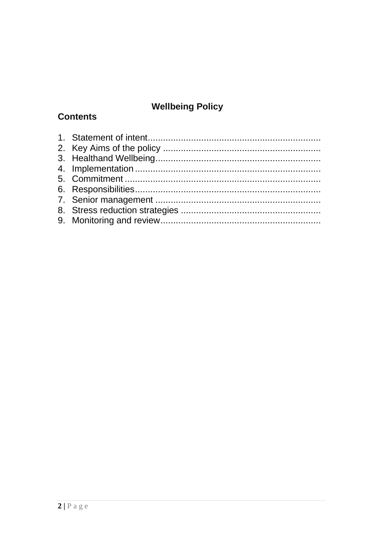# **Wellbeing Policy**

# **Contents**

<span id="page-1-0"></span>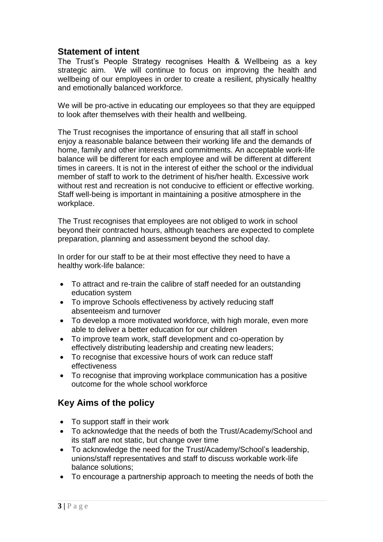## **Statement of intent**

The Trust's People Strategy recognises Health & Wellbeing as a key strategic aim. We will continue to focus on improving the health and wellbeing of our employees in order to create a resilient, physically healthy and emotionally balanced workforce.

We will be pro-active in educating our employees so that they are equipped to look after themselves with their health and wellbeing.

The Trust recognises the importance of ensuring that all staff in school enjoy a reasonable balance between their working life and the demands of home, family and other interests and commitments. An acceptable work-life balance will be different for each employee and will be different at different times in careers. It is not in the interest of either the school or the individual member of staff to work to the detriment of his/her health. Excessive work without rest and recreation is not conducive to efficient or effective working. Staff well-being is important in maintaining a positive atmosphere in the workplace.

The Trust recognises that employees are not obliged to work in school beyond their contracted hours, although teachers are expected to complete preparation, planning and assessment beyond the school day.

In order for our staff to be at their most effective they need to have a healthy work-life balance:

- To attract and re-train the calibre of staff needed for an outstanding education system
- To improve Schools effectiveness by actively reducing staff absenteeism and turnover
- To develop a more motivated workforce, with high morale, even more able to deliver a better education for our children
- To improve team work, staff development and co-operation by effectively distributing leadership and creating new leaders;
- To recognise that excessive hours of work can reduce staff effectiveness
- To recognise that improving workplace communication has a positive outcome for the whole school workforce

# <span id="page-2-0"></span>**Key Aims of the policy**

- To support staff in their work
- To acknowledge that the needs of both the Trust/Academy/School and its staff are not static, but change over time
- To acknowledge the need for the Trust/Academy/School's leadership, unions/staff representatives and staff to discuss workable work-life balance solutions;
- To encourage a partnership approach to meeting the needs of both the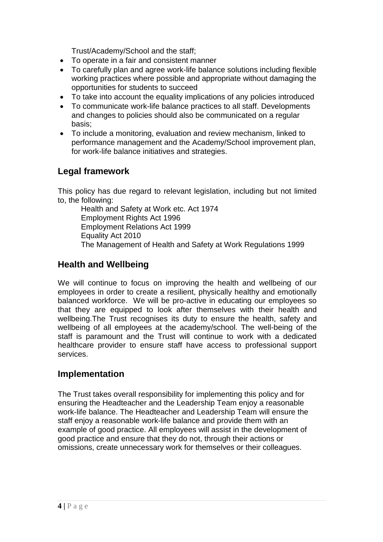Trust/Academy/School and the staff;

- To operate in a fair and consistent manner
- To carefully plan and agree work-life balance solutions including flexible working practices where possible and appropriate without damaging the opportunities for students to succeed
- To take into account the equality implications of any policies introduced
- To communicate work-life balance practices to all staff. Developments and changes to policies should also be communicated on a regular basis;
- To include a monitoring, evaluation and review mechanism, linked to performance management and the Academy/School improvement plan, for work-life balance initiatives and strategies.

# **Legal framework**

This policy has due regard to relevant legislation, including but not limited to, the following:

Health and Safety at Work etc. Act 1974 Employment Rights Act 1996 Employment Relations Act 1999 Equality Act 2010 The Management of Health and Safety at Work Regulations 1999

## <span id="page-3-0"></span>**Health and Wellbeing**

We will continue to focus on improving the health and wellbeing of our employees in order to create a resilient, physically healthy and emotionally balanced workforce. We will be pro-active in educating our employees so that they are equipped to look after themselves with their health and wellbeing.The Trust recognises its duty to ensure the health, safety and wellbeing of all employees at the academy/school. The well-being of the staff is paramount and the Trust will continue to work with a dedicated healthcare provider to ensure staff have access to professional support services.

#### <span id="page-3-1"></span>**Implementation**

The Trust takes overall responsibility for implementing this policy and for ensuring the Headteacher and the Leadership Team enjoy a reasonable work-life balance. The Headteacher and Leadership Team will ensure the staff enjoy a reasonable work-life balance and provide them with an example of good practice. All employees will assist in the development of good practice and ensure that they do not, through their actions or omissions, create unnecessary work for themselves or their colleagues.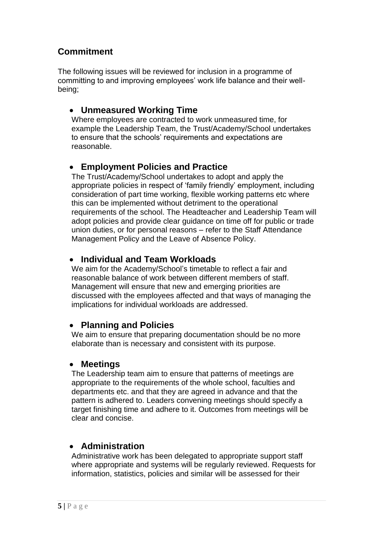# <span id="page-4-0"></span>**Commitment**

The following issues will be reviewed for inclusion in a programme of committing to and improving employees' work life balance and their wellbeing;

# • **Unmeasured Working Time**

Where employees are contracted to work unmeasured time, for example the Leadership Team, the Trust/Academy/School undertakes to ensure that the schools' requirements and expectations are reasonable.

## • **Employment Policies and Practice**

The Trust/Academy/School undertakes to adopt and apply the appropriate policies in respect of 'family friendly' employment, including consideration of part time working, flexible working patterns etc where this can be implemented without detriment to the operational requirements of the school. The Headteacher and Leadership Team will adopt policies and provide clear guidance on time off for public or trade union duties, or for personal reasons – refer to the Staff Attendance Management Policy and the Leave of Absence Policy.

#### • **Individual and Team Workloads**

We aim for the Academy/School's timetable to reflect a fair and reasonable balance of work between different members of staff. Management will ensure that new and emerging priorities are discussed with the employees affected and that ways of managing the implications for individual workloads are addressed.

#### • **Planning and Policies**

We aim to ensure that preparing documentation should be no more elaborate than is necessary and consistent with its purpose.

#### • **Meetings**

The Leadership team aim to ensure that patterns of meetings are appropriate to the requirements of the whole school, faculties and departments etc. and that they are agreed in advance and that the pattern is adhered to. Leaders convening meetings should specify a target finishing time and adhere to it. Outcomes from meetings will be clear and concise.

#### • **Administration**

Administrative work has been delegated to appropriate support staff where appropriate and systems will be regularly reviewed. Requests for information, statistics, policies and similar will be assessed for their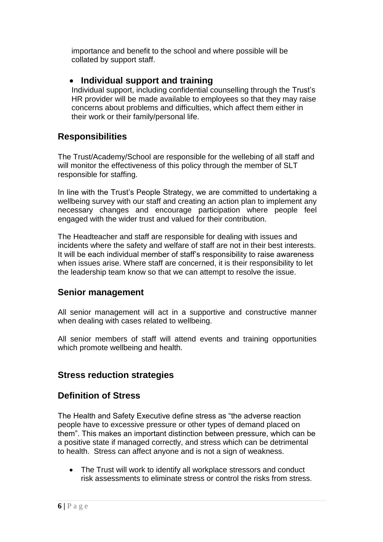importance and benefit to the school and where possible will be collated by support staff.

#### • **Individual support and training**

Individual support, including confidential counselling through the Trust's HR provider will be made available to employees so that they may raise concerns about problems and difficulties, which affect them either in their work or their family/personal life.

#### <span id="page-5-0"></span>**Responsibilities**

The Trust/Academy/School are responsible for the wellebing of all staff and will monitor the effectiveness of this policy through the member of SLT responsible for staffing.

In line with the Trust's People Strategy, we are committed to undertaking a wellbeing survey with our staff and creating an action plan to implement any necessary changes and encourage participation where people feel engaged with the wider trust and valued for their contribution.

The Headteacher and staff are responsible for dealing with issues and incidents where the safety and welfare of staff are not in their best interests. It will be each individual member of staff's responsibility to raise awareness when issues arise. Where staff are concerned, it is their responsibility to let the leadership team know so that we can attempt to resolve the issue.

#### <span id="page-5-1"></span>**Senior management**

All senior management will act in a supportive and constructive manner when dealing with cases related to wellbeing.

All senior members of staff will attend events and training opportunities which promote wellbeing and health.

# <span id="page-5-2"></span>**Stress reduction strategies**

#### **Definition of Stress**

The Health and Safety Executive define stress as "the adverse reaction people have to excessive pressure or other types of demand placed on them". This makes an important distinction between pressure, which can be a positive state if managed correctly, and stress which can be detrimental to health. Stress can affect anyone and is not a sign of weakness.

• The Trust will work to identify all workplace stressors and conduct risk assessments to eliminate stress or control the risks from stress.